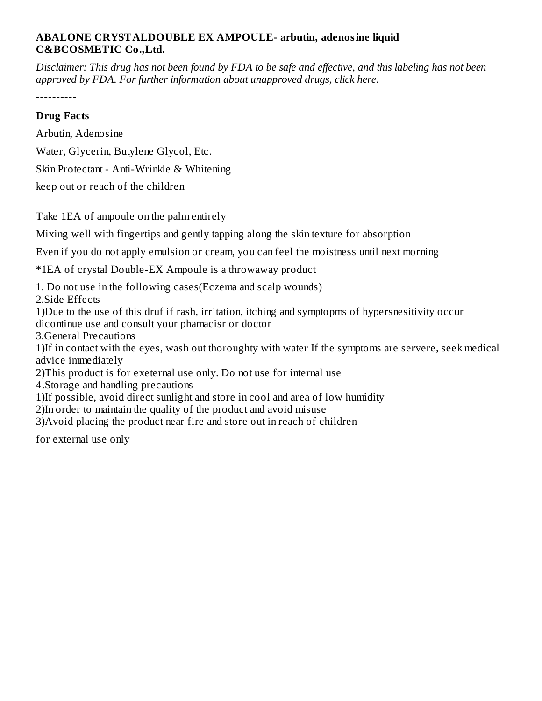### **ABALONE CRYSTALDOUBLE EX AMPOULE- arbutin, adenosine liquid C&BCOSMETIC Co.,Ltd.**

Disclaimer: This drug has not been found by FDA to be safe and effective, and this labeling has not been *approved by FDA. For further information about unapproved drugs, click here.*

----------

### **Drug Facts**

Arbutin, Adenosine Water, Glycerin, Butylene Glycol, Etc. Skin Protectant - Anti-Wrinkle & Whitening

keep out or reach of the children

Take 1EA of ampoule on the palm entirely

Mixing well with fingertips and gently tapping along the skin texture for absorption

Even if you do not apply emulsion or cream, you can feel the moistness until next morning

\*1EA of crystal Double-EX Ampoule is a throwaway product

1. Do not use in the following cases(Eczema and scalp wounds)

2.Side Effects

1)Due to the use of this druf if rash, irritation, itching and symptopms of hypersnesitivity occur dicontinue use and consult your phamacisr or doctor

3.General Precautions

1)If in contact with the eyes, wash out thoroughty with water If the symptoms are servere, seek medical advice immediately

2)This product is for exeternal use only. Do not use for internal use

4.Storage and handling precautions

1)If possible, avoid direct sunlight and store in cool and area of low humidity

2)In order to maintain the quality of the product and avoid misuse

3)Avoid placing the product near fire and store out in reach of children

for external use only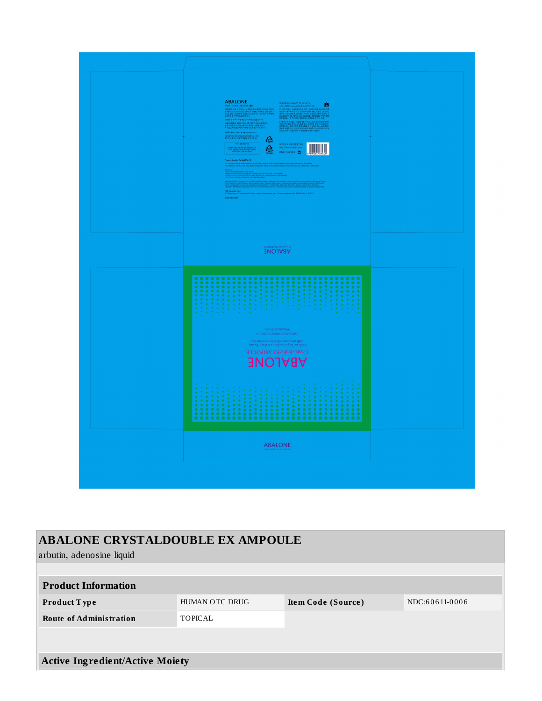

| <b>ABALONE CRYSTALDOUBLE EX AMPOULE</b><br>arbutin, adenosine liquid |                                      |  |                |  |  |  |
|----------------------------------------------------------------------|--------------------------------------|--|----------------|--|--|--|
|                                                                      |                                      |  |                |  |  |  |
| <b>Product Information</b>                                           |                                      |  |                |  |  |  |
| Product Type                                                         | HUMAN OTC DRUG<br>Item Code (Source) |  | NDC:60611-0006 |  |  |  |
| <b>Route of Administration</b>                                       | TOPICAL                              |  |                |  |  |  |
|                                                                      |                                      |  |                |  |  |  |
| <b>Active Ingredient/Active Moiety</b>                               |                                      |  |                |  |  |  |
|                                                                      |                                      |  |                |  |  |  |